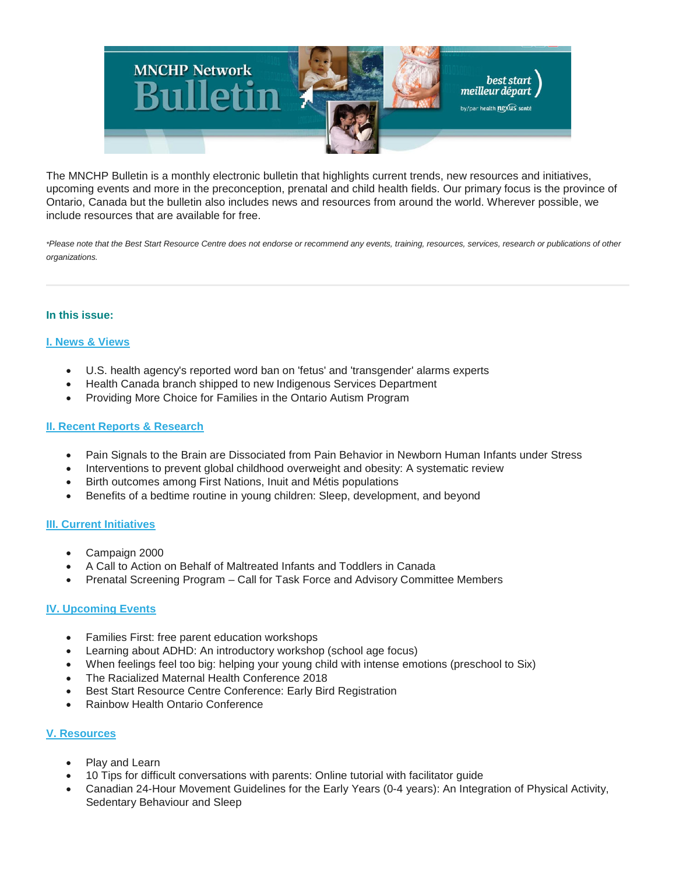

The MNCHP Bulletin is a monthly electronic bulletin that highlights current trends, new resources and initiatives, upcoming events and more in the preconception, prenatal and child health fields. Our primary focus is the province of Ontario, Canada but the bulletin also includes news and resources from around the world. Wherever possible, we include resources that are available for free.

*\*Please note that the Best Start Resource Centre does not endorse or recommend any events, training, resources, services, research or publications of other organizations.*

## **In this issue:**

## **[I. News & Views](https://us14.admin.mailchimp.com/templates/preview-template?id=130973#I.%20News%20&%20Views)**

- U.S. health agency's reported word ban on 'fetus' and 'transgender' alarms experts
- Health Canada branch shipped to new Indigenous Services Department
- Providing More Choice for Families in the Ontario Autism Program

### **[II. Recent Reports & Research](https://us14.admin.mailchimp.com/templates/preview-template?id=130973#II.%20Recent%20Reports%20&%20Research)**

- Pain Signals to the Brain are Dissociated from Pain Behavior in Newborn Human Infants under Stress
- Interventions to prevent global childhood overweight and obesity: A systematic review
- Birth outcomes among First Nations, Inuit and Métis populations
- Benefits of a bedtime routine in young children: Sleep, development, and beyond

#### **[III. Current Initiatives](https://us14.admin.mailchimp.com/templates/preview-template?id=130973#III.%20Current%20Initiatives)**

- Campaign 2000
- A Call to Action on Behalf of Maltreated Infants and Toddlers in Canada
- Prenatal Screening Program Call for Task Force and Advisory Committee Members

## **[IV. Upcoming Events](https://us14.admin.mailchimp.com/templates/preview-template?id=130973#IV.%20Upcoming%20Events)**

- Families First: free parent education workshops
- Learning about ADHD: An introductory workshop (school age focus)
- When feelings feel too big: helping your young child with intense emotions (preschool to Six)
- The Racialized Maternal Health Conference 2018
- Best Start Resource Centre Conference: Early Bird Registration
- Rainbow Health Ontario Conference

## **[V. Resources](https://us14.admin.mailchimp.com/templates/preview-template?id=130973#V.%20Resources)**

- Play and Learn
- 10 Tips for difficult conversations with parents: Online tutorial with facilitator guide
- Canadian 24-Hour Movement Guidelines for the Early Years (0-4 years): An Integration of Physical Activity, Sedentary Behaviour and Sleep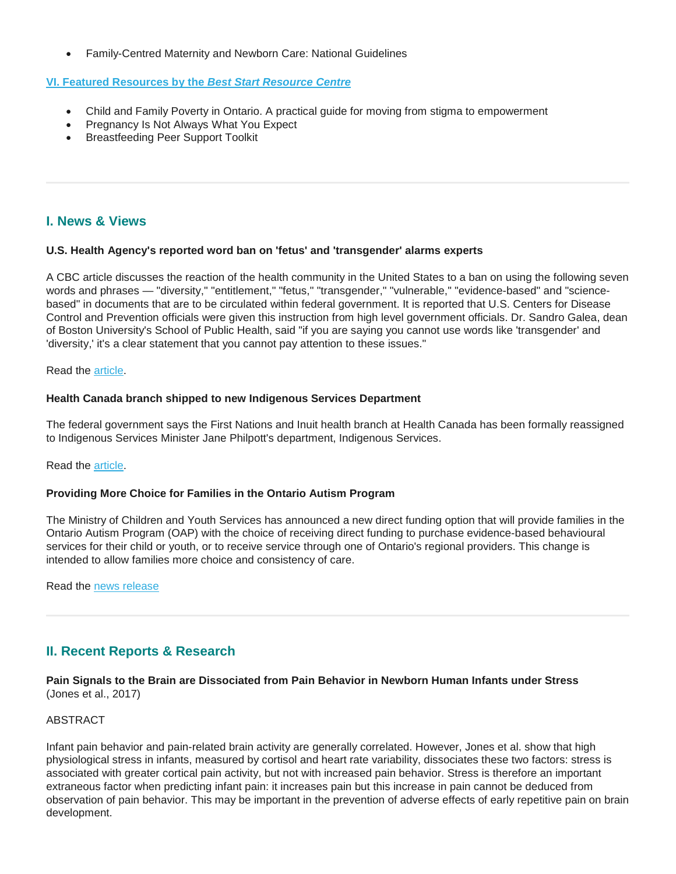• Family-Centred Maternity and Newborn Care: National Guidelines

## **[VI. Featured Resources by the](https://us14.admin.mailchimp.com/templates/preview-template?id=130973#VI.%20BSRC%20Resources)** *Best Start Resource Centre*

- Child and Family Poverty in Ontario. A practical guide for moving from stigma to empowerment
- Pregnancy Is Not Always What You Expect
- Breastfeeding Peer Support Toolkit

# **I. News & Views**

#### **U.S. Health Agency's reported word ban on 'fetus' and 'transgender' alarms experts**

A CBC article discusses the reaction of the health community in the United States to a ban on using the following seven words and phrases — "diversity," "entitlement," "fetus," "transgender," "vulnerable," "evidence-based" and "sciencebased" in documents that are to be circulated within federal government. It is reported that U.S. Centers for Disease Control and Prevention officials were given this instruction from high level government officials. Dr. Sandro Galea, dean of Boston University's School of Public Health, said "if you are saying you cannot use words like 'transgender' and 'diversity,' it's a clear statement that you cannot pay attention to these issues."

Read the [article.](http://www.cbc.ca/news/world/cdc-banned-words-1.4453231)

#### **Health Canada branch shipped to new Indigenous Services Department**

The federal government says the First Nations and Inuit health branch at Health Canada has been formally reassigned to Indigenous Services Minister Jane Philpott's department, Indigenous Services.

Read the [article.](https://www.ctvnews.ca/politics/health-canada-branch-shipped-to-new-indigenous-services-department-1.3706748)

#### **Providing More Choice for Families in the Ontario Autism Program**

The Ministry of Children and Youth Services has announced a new direct funding option that will provide families in the Ontario Autism Program (OAP) with the choice of receiving direct funding to purchase evidence-based behavioural services for their child or youth, or to receive service through one of Ontario's regional providers. This change is intended to allow families more choice and consistency of care.

Read the [news release](https://news.ontario.ca/mcys/en/2017/12/providing-more-choice-for-families-in-the-ontario-autism-program.html?_ga=2.225283418.1104233974.1515377840-17664416.1515377840)

# **II. Recent Reports & Research**

### **Pain Signals to the Brain are Dissociated from Pain Behavior in Newborn Human Infants under Stress** (Jones et al., 2017)

## ABSTRACT

Infant pain behavior and pain-related brain activity are generally correlated. However, Jones et al. show that high physiological stress in infants, measured by cortisol and heart rate variability, dissociates these two factors: stress is associated with greater cortical pain activity, but not with increased pain behavior. Stress is therefore an important extraneous factor when predicting infant pain: it increases pain but this increase in pain cannot be deduced from observation of pain behavior. This may be important in the prevention of adverse effects of early repetitive pain on brain development.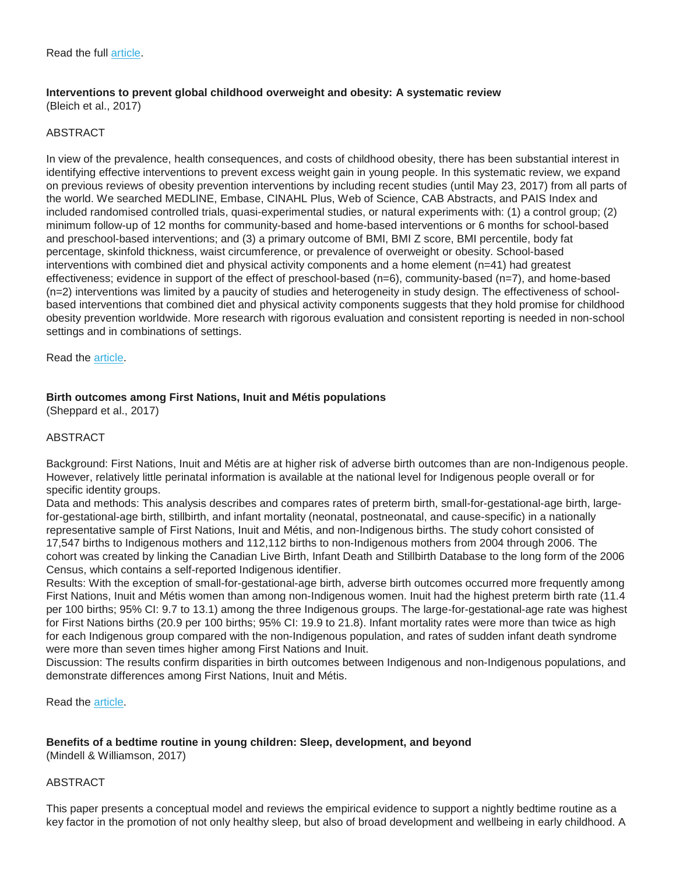#### **Interventions to prevent global childhood overweight and obesity: A systematic review** (Bleich et al., 2017)

#### ABSTRACT

In view of the prevalence, health consequences, and costs of childhood obesity, there has been substantial interest in identifying effective interventions to prevent excess weight gain in young people. In this systematic review, we expand on previous reviews of obesity prevention interventions by including recent studies (until May 23, 2017) from all parts of the world. We searched MEDLINE, Embase, CINAHL Plus, Web of Science, CAB Abstracts, and PAIS Index and included randomised controlled trials, quasi-experimental studies, or natural experiments with: (1) a control group; (2) minimum follow-up of 12 months for community-based and home-based interventions or 6 months for school-based and preschool-based interventions; and (3) a primary outcome of BMI, BMI Z score, BMI percentile, body fat percentage, skinfold thickness, waist circumference, or prevalence of overweight or obesity. School-based interventions with combined diet and physical activity components and a home element (n=41) had greatest effectiveness; evidence in support of the effect of preschool-based (n=6), community-based (n=7), and home-based (n=2) interventions was limited by a paucity of studies and heterogeneity in study design. The effectiveness of schoolbased interventions that combined diet and physical activity components suggests that they hold promise for childhood obesity prevention worldwide. More research with rigorous evaluation and consistent reporting is needed in non-school settings and in combinations of settings.

Read the [article.](https://www.healthevidence.org/view-article.aspx?a=interventions-prevent-global-childhood-overweight-obesity-systematic-review-32918)

## **Birth outcomes among First Nations, Inuit and Métis populations**

(Sheppard et al., 2017)

## ABSTRACT

Background: First Nations, Inuit and Métis are at higher risk of adverse birth outcomes than are non-Indigenous people. However, relatively little perinatal information is available at the national level for Indigenous people overall or for specific identity groups.

Data and methods: This analysis describes and compares rates of preterm birth, small-for-gestational-age birth, largefor-gestational-age birth, stillbirth, and infant mortality (neonatal, postneonatal, and cause-specific) in a nationally representative sample of First Nations, Inuit and Métis, and non-Indigenous births. The study cohort consisted of 17,547 births to Indigenous mothers and 112,112 births to non-Indigenous mothers from 2004 through 2006. The cohort was created by linking the Canadian Live Birth, Infant Death and Stillbirth Database to the long form of the 2006 Census, which contains a self-reported Indigenous identifier.

Results: With the exception of small-for-gestational-age birth, adverse birth outcomes occurred more frequently among First Nations, Inuit and Métis women than among non-Indigenous women. Inuit had the highest preterm birth rate (11.4 per 100 births; 95% CI: 9.7 to 13.1) among the three Indigenous groups. The large-for-gestational-age rate was highest for First Nations births (20.9 per 100 births; 95% CI: 19.9 to 21.8). Infant mortality rates were more than twice as high for each Indigenous group compared with the non-Indigenous population, and rates of sudden infant death syndrome were more than seven times higher among First Nations and Inuit.

Discussion: The results confirm disparities in birth outcomes between Indigenous and non-Indigenous populations, and demonstrate differences among First Nations, Inuit and Métis.

Read the [article.](http://www.statcan.gc.ca/pub/82-003-x/2017011/article/54886-eng.pdf)

#### **Benefits of a bedtime routine in young children: Sleep, development, and beyond**

(Mindell & Williamson, 2017)

#### ABSTRACT

This paper presents a conceptual model and reviews the empirical evidence to support a nightly bedtime routine as a key factor in the promotion of not only healthy sleep, but also of broad development and wellbeing in early childhood. A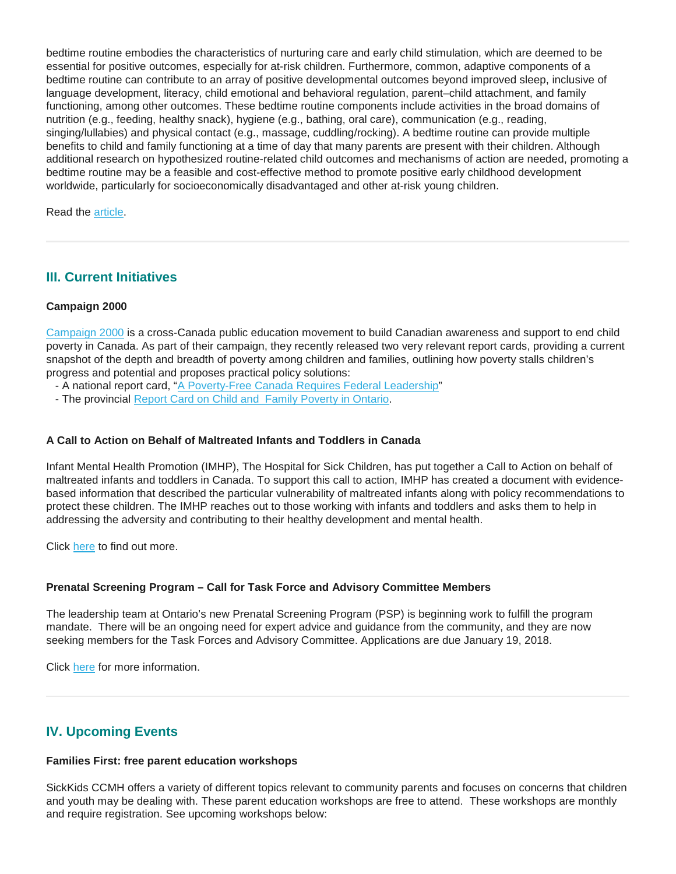bedtime routine embodies the characteristics of nurturing care and early child stimulation, which are deemed to be essential for positive outcomes, especially for at-risk children. Furthermore, common, adaptive components of a bedtime routine can contribute to an array of positive developmental outcomes beyond improved sleep, inclusive of language development, literacy, child emotional and behavioral regulation, parent–child attachment, and family functioning, among other outcomes. These bedtime routine components include activities in the broad domains of nutrition (e.g., feeding, healthy snack), hygiene (e.g., bathing, oral care), communication (e.g., reading, singing/lullabies) and physical contact (e.g., massage, cuddling/rocking). A bedtime routine can provide multiple benefits to child and family functioning at a time of day that many parents are present with their children. Although additional research on hypothesized routine-related child outcomes and mechanisms of action are needed, promoting a bedtime routine may be a feasible and cost-effective method to promote positive early childhood development worldwide, particularly for socioeconomically disadvantaged and other at-risk young children.

Read the **article**.

# **III. Current Initiatives**

## **Campaign 2000**

[Campaign 2000](https://campaign2000.ca/) is a cross-Canada public education movement to build Canadian awareness and support to end child poverty in Canada. As part of their campaign, they recently released two very relevant report cards, providing a current snapshot of the depth and breadth of poverty among children and families, outlining how poverty stalls children's progress and potential and proposes practical policy solutions:

- A national report card, ["A Poverty-Free Canada Requires Federal Leadership"](https://campaign2000.ca/2017reportcard/)
- The provincial [Report Card on Child and Family Poverty in Ontario.](https://campaign2000.ca/wp-content/uploads/2017/11/ReportCardOntarioNov212017.pdf)

## **A Call to Action on Behalf of Maltreated Infants and Toddlers in Canada**

Infant Mental Health Promotion (IMHP), The Hospital for Sick Children, has put together a Call to Action on behalf of maltreated infants and toddlers in Canada. To support this call to action, IMHP has created a document with evidencebased information that described the particular vulnerability of maltreated infants along with policy recommendations to protect these children. The IMHP reaches out to those working with infants and toddlers and asks them to help in addressing the adversity and contributing to their healthy development and mental health.

Click [here](http://www.imhpromotion.ca/Portals/0/IMHP%20PDFs/Projects/A%20Call%20to%20Action%20-%20IMHP%20April%202017.pdf?ver=2017-05-03-111123-957) to find out more.

#### **Prenatal Screening Program – Call for Task Force and Advisory Committee Members**

The leadership team at Ontario's new Prenatal Screening Program (PSP) is beginning work to fulfill the program mandate. There will be an ongoing need for expert advice and guidance from the community, and they are now seeking members for the Task Forces and Advisory Committee. Applications are due January 19, 2018.

Click [here](http://www.pcmch.on.ca/prenatal-screening-program-call-membership/) for more information.

# **IV. Upcoming Events**

#### **Families First: free parent education workshops**

SickKids CCMH offers a variety of different topics relevant to community parents and focuses on concerns that children and youth may be dealing with. These parent education workshops are free to attend. These workshops are monthly and require registration. See upcoming workshops below: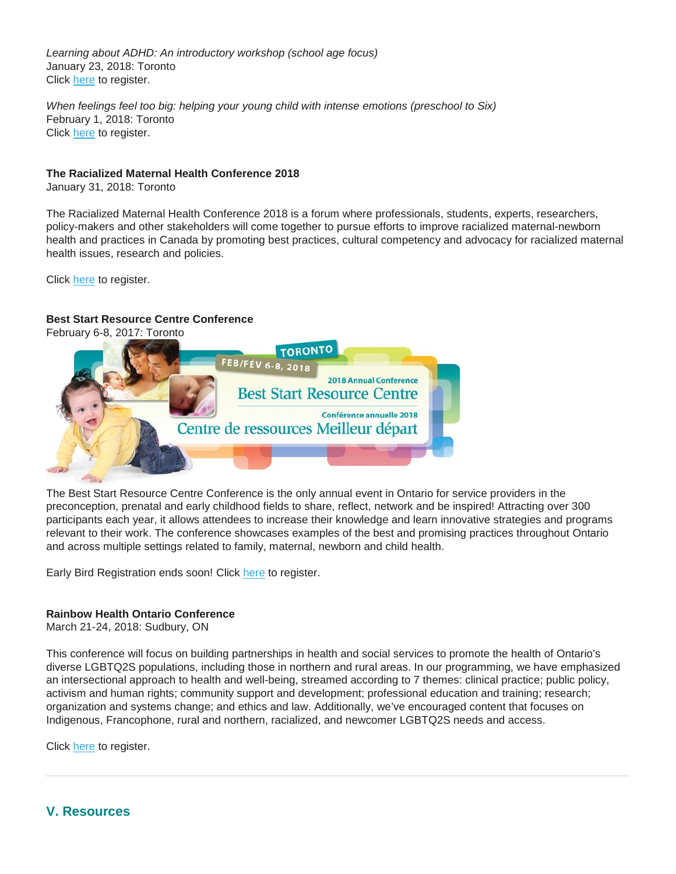*Learning about ADHD: An introductory workshop (school age focus)* January 23, 2018: Toronto Click [here](http://www.sickkidscmh.ca/Home/Services-to-Infants-Youth-and-Children/Prevention-and-Early-Intervention/families-first-jan-2018.aspx) to register.

*When feelings feel too big: helping your young child with intense emotions (preschool to Six)* February 1, 2018: Toronto Click [here](http://www.sickkidscmh.ca/Home/Services-to-Infants-Youth-and-Children/Prevention-and-Early-Intervention/families-first-feb-2018.aspx) to register.

## **The Racialized Maternal Health Conference 2018**

January 31, 2018: Toronto

The Racialized Maternal Health Conference 2018 is a forum where professionals, students, experts, researchers, policy-makers and other stakeholders will come together to pursue efforts to improve racialized maternal-newborn health and practices in Canada by promoting best practices, cultural competency and advocacy for racialized maternal health issues, research and policies.

Click [here](http://www.opha.on.ca/Events/Annual-Safe-Schools-Conference-A-Focus-on-Student.aspx) to register.

## **Best Start Resource Centre Conference**

[February 6-8, 2017: Toronto](http://en.beststart.org/event/2018-best-start-resource-centre-annual-conference)



The Best Start Resource Centre Conference is the only annual event in Ontario for service providers in the preconception, prenatal and early childhood fields to share, reflect, network and be inspired! Attracting over 300 participants each year, it allows attendees to increase their knowledge and learn innovative strategies and programs relevant to their work. The conference showcases examples of the best and promising practices throughout Ontario and across multiple settings related to family, maternal, newborn and child health.

Early Bird Registration ends soon! Click [here](http://en.beststart.org/2018-BSRC-Conference-Registration) to register.

## **Rainbow Health Ontario Conference**

March 21-24, 2018: Sudbury, ON

This conference will focus on building partnerships in health and social services to promote the health of Ontario's diverse LGBTQ2S populations, including those in northern and rural areas. In our programming, we have emphasized an intersectional approach to health and well-being, streamed according to 7 themes: clinical practice; public policy, activism and human rights; community support and development; professional education and training; research; organization and systems change; and ethics and law. Additionally, we've encouraged content that focuses on Indigenous, Francophone, rural and northern, racialized, and newcomer LGBTQ2S needs and access.

Click [here](https://www.eventbrite.com/e/prenatal-education-trends-and-issues-tickets-38954000464?aff=es2) to register.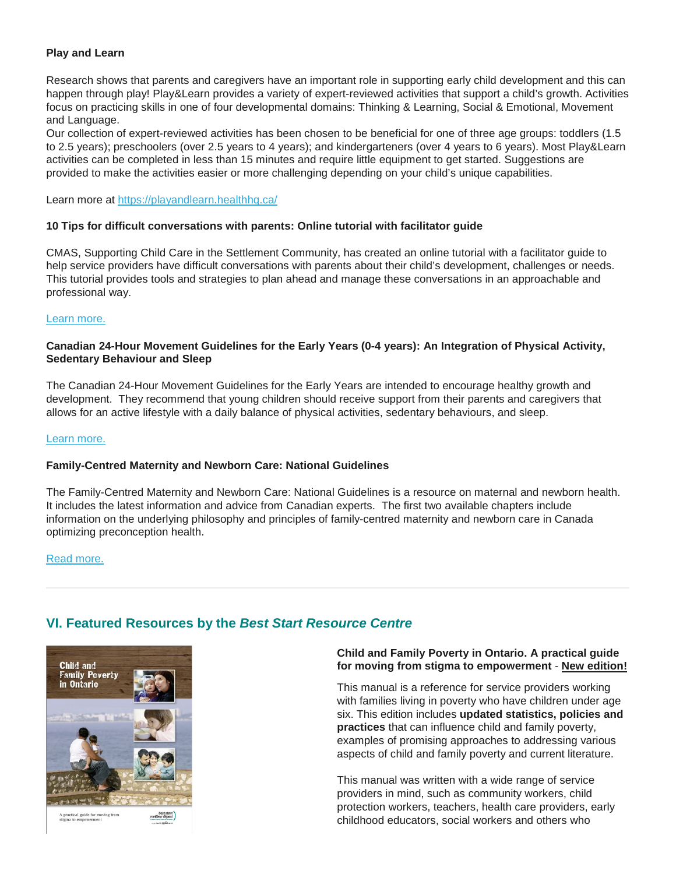#### **Play and Learn**

Research shows that parents and caregivers have an important role in supporting early child development and this can happen through play! Play&Learn provides a variety of expert-reviewed activities that support a child's growth. Activities focus on practicing skills in one of four developmental domains: Thinking & Learning, Social & Emotional, Movement and Language.

Our collection of expert-reviewed activities has been chosen to be beneficial for one of three age groups: toddlers (1.5 to 2.5 years); preschoolers (over 2.5 years to 4 years); and kindergarteners (over 4 years to 6 years). Most Play&Learn activities can be completed in less than 15 minutes and require little equipment to get started. Suggestions are provided to make the activities easier or more challenging depending on your child's unique capabilities.

Learn more at <https://playandlearn.healthhq.ca/>

#### **10 Tips for difficult conversations with parents: Online tutorial with facilitator guide**

CMAS, Supporting Child Care in the Settlement Community, has created an online tutorial with a facilitator guide to help service providers have difficult conversations with parents about their child's development, challenges or needs. This tutorial provides tools and strategies to plan ahead and manage these conversations in an approachable and professional way.

#### [Learn more.](https://cmascanada.ca/wp-content/uploads/tutorials/Difficult%20Conversations%20with%20Parents/index.html)

#### **Canadian 24-Hour Movement Guidelines for the Early Years (0-4 years): An Integration of Physical Activity, Sedentary Behaviour and Sleep**

The Canadian 24-Hour Movement Guidelines for the Early Years are intended to encourage healthy growth and development. They recommend that young children should receive support from their parents and caregivers that allows for an active lifestyle with a daily balance of physical activities, sedentary behaviours, and sleep.

#### [Learn more.](http://www.gov.mb.ca/healthyliving/hlp/pag/canadian_24hour_mg_ey.pdf)

#### **Family-Centred Maternity and Newborn Care: National Guidelines**

The Family-Centred Maternity and Newborn Care: National Guidelines is a resource on maternal and newborn health. It includes the latest information and advice from Canadian experts. The first two available chapters include information on the underlying philosophy and principles of family-centred maternity and newborn care in Canada optimizing preconception health.

[Read more.](https://www.canada.ca/en/public-health/services/maternity-newborn-care-guidelines.html)

## **VI. Featured Resources by the** *Best Start Resource Centre*



### **Child and Family Poverty in Ontario. A practical guide for moving from stigma to empowerment** - **New edition!**

This manual is a reference for service providers working with families living in poverty who have children under age six. This edition includes **updated statistics, policies and practices** that can influence child and family poverty, examples of promising approaches to addressing various aspects of child and family poverty and current literature.

This manual was written with a wide range of service providers in mind, such as community workers, child protection workers, teachers, health care providers, early childhood educators, social workers and others who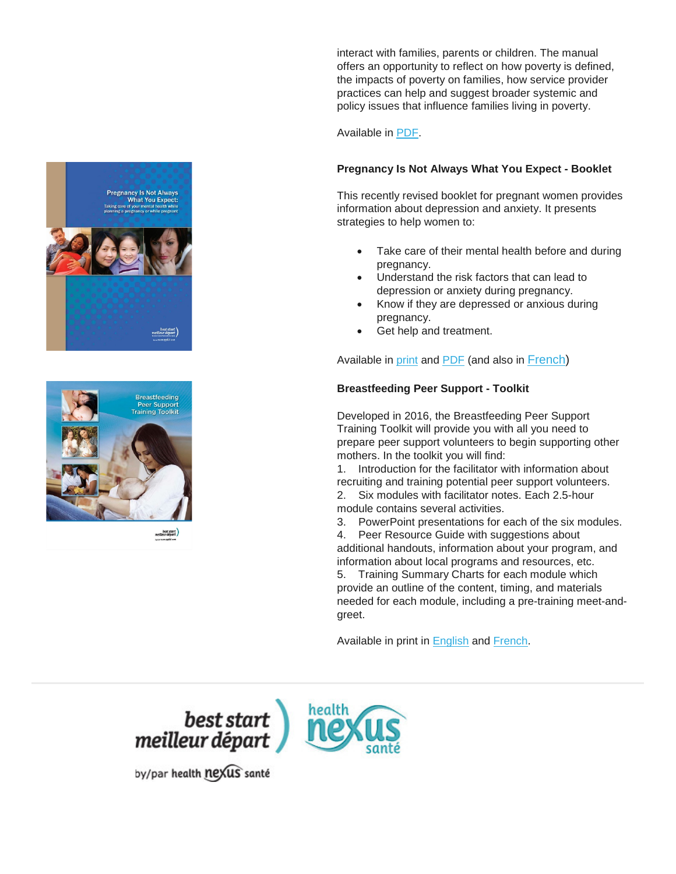interact with families, parents or children. The manual offers an opportunity to reflect on how poverty is defined, the impacts of poverty on families, how service provider practices can help and suggest broader systemic and policy issues that influence families living in poverty.

Available in [PDF.](https://www.beststart.org/cgi-bin/commerce.cgi?search=action&category=G00E&advanced=yes&sortkey=sku&sortorder=descending)

## **Pregnancy Is Not Always What You Expect - Booklet**

This recently revised booklet for pregnant women provides information about depression and anxiety. It presents strategies to help women to:

- Take care of their mental health before and during pregnancy.
- Understand the risk factors that can lead to depression or anxiety during pregnancy.
- Know if they are depressed or anxious during pregnancy.
- Get help and treatment.

Available in [print](https://www.beststart.org/cgi-bin/commerce.cgi?preadd=action&key=M10-E) and [PDF](http://www.beststart.org/resources/ppmd/TakeCareMentalHealth_EN_rev.pdf) (and also in [French\)](https://www.beststart.org/cgi-bin/commerce.cgi?preadd=action&key=M10-F)

## **Breastfeeding Peer Support - Toolkit**

Developed in 2016, the Breastfeeding Peer Support Training Toolkit will provide you with all you need to prepare peer support volunteers to begin supporting other mothers. In the toolkit you will find:

1. Introduction for the facilitator with information about recruiting and training potential peer support volunteers. 2. Six modules with facilitator notes. Each 2.5-hour

module contains several activities.

3. PowerPoint presentations for each of the six modules.

4. Peer Resource Guide with suggestions about additional handouts, information about your program, and information about local programs and resources, etc.

5. Training Summary Charts for each module which provide an outline of the content, timing, and materials needed for each module, including a pre-training meet-andgreet.

Available in print in [English](https://www.beststart.org/cgi-bin/commerce.cgi?preadd=action&key=B21-E) and [French.](https://www.beststart.org/cgi-bin/commerce.cgi?preadd=action&key=B21-F)



by/par health nexus santé



Pregnancy Is Not Always<br>What You Expect:

**Breastfeeding** Peer Support<br>raining Toolkit